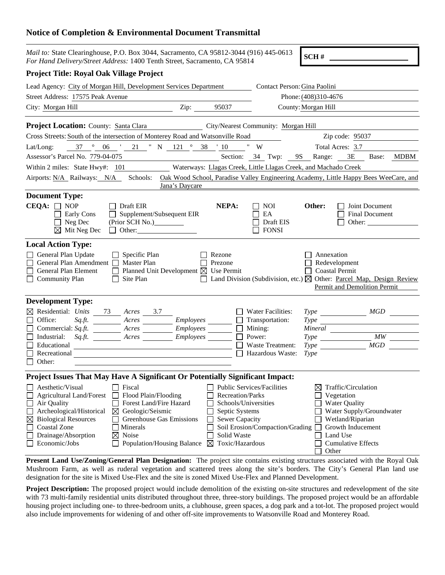## **Notice of Completion & Environmental Document Transmittal**

| <i>Mail to:</i> State Clearinghouse, P.O. Box 3044, Sacramento, CA 95812-3044 (916) 445-0613<br>For Hand Delivery/Street Address: 1400 Tenth Street, Sacramento, CA 95814                                                                                                                                                                                                                          |                               |                                                                                                              |                                                                                       | SCH#                                                 |                                                                                                                       |      |
|----------------------------------------------------------------------------------------------------------------------------------------------------------------------------------------------------------------------------------------------------------------------------------------------------------------------------------------------------------------------------------------------------|-------------------------------|--------------------------------------------------------------------------------------------------------------|---------------------------------------------------------------------------------------|------------------------------------------------------|-----------------------------------------------------------------------------------------------------------------------|------|
| <b>Project Title: Royal Oak Village Project</b>                                                                                                                                                                                                                                                                                                                                                    |                               |                                                                                                              |                                                                                       |                                                      |                                                                                                                       |      |
| Lead Agency: City of Morgan Hill, Development Services Department                                                                                                                                                                                                                                                                                                                                  |                               |                                                                                                              | Contact Person: Gina Paolini                                                          |                                                      |                                                                                                                       |      |
| Street Address: 17575 Peak Avenue                                                                                                                                                                                                                                                                                                                                                                  |                               |                                                                                                              |                                                                                       | Phone: (408)310-4676                                 |                                                                                                                       |      |
| City: Morgan Hill                                                                                                                                                                                                                                                                                                                                                                                  | Zip: $\overline{\phantom{a}}$ | 95037                                                                                                        |                                                                                       | County: Morgan Hill                                  |                                                                                                                       |      |
| <b>Project Location:</b> County: Santa Clara                                                                                                                                                                                                                                                                                                                                                       |                               |                                                                                                              | City/Nearest Community: Morgan Hill                                                   |                                                      |                                                                                                                       |      |
| Cross Streets: South of the intersection of Monterey Road and Watsonville Road                                                                                                                                                                                                                                                                                                                     |                               |                                                                                                              |                                                                                       | Zip code: 95037                                      |                                                                                                                       |      |
| $\circ$<br>21 " N 121 ° 38 '10<br>37<br>06<br>Lat/Long:                                                                                                                                                                                                                                                                                                                                            |                               |                                                                                                              | W                                                                                     | Total Acres: 3.7                                     |                                                                                                                       |      |
| Assessor's Parcel No. 779-04-075                                                                                                                                                                                                                                                                                                                                                                   |                               |                                                                                                              | Section: 34 Twp:                                                                      | 9S Range:                                            | 3E<br>Base:                                                                                                           | MDBM |
| Within 2 miles: State Hwy#: 101                                                                                                                                                                                                                                                                                                                                                                    |                               |                                                                                                              | Waterways: Llagas Creek, Little Llagas Creek, and Machado Creek                       |                                                      |                                                                                                                       |      |
| Schools:<br>Airports: N/A Railways: N/A                                                                                                                                                                                                                                                                                                                                                            |                               |                                                                                                              | Oak Wood School, Paradise Valley Engineering Academy, Little Happy Bees WeeCare, and  |                                                      |                                                                                                                       |      |
|                                                                                                                                                                                                                                                                                                                                                                                                    | Jana's Daycare                |                                                                                                              |                                                                                       |                                                      |                                                                                                                       |      |
| <b>Document Type:</b>                                                                                                                                                                                                                                                                                                                                                                              |                               |                                                                                                              |                                                                                       |                                                      |                                                                                                                       |      |
| $CEQA: \Box NOP$<br>Draft EIR<br>Early Cons<br>Supplement/Subsequent EIR<br>$\Box$ Neg Dec<br>(Prior SCH No.)_________<br>$\Box$ Other:<br>$\boxtimes$ Mit Neg Dec                                                                                                                                                                                                                                 |                               | NEPA:                                                                                                        | <b>NOI</b><br>EA<br>Draft EIS<br><b>FONSI</b>                                         | Other:                                               | Joint Document<br><b>Final Document</b><br>Other:                                                                     |      |
| <b>Local Action Type:</b>                                                                                                                                                                                                                                                                                                                                                                          |                               |                                                                                                              |                                                                                       |                                                      |                                                                                                                       |      |
| General Plan Update<br>$\Box$ Specific Plan<br>General Plan Amendment □ Master Plan<br>General Plan Element<br>Planned Unit Development $\boxtimes$ Use Permit<br>Site Plan<br>Community Plan                                                                                                                                                                                                      |                               | Rezone<br>Prezone                                                                                            | Land Division (Subdivision, etc.) $\boxtimes$ Other: Parcel Map, Design Review        | Annexation<br>Redevelopment<br><b>Coastal Permit</b> | Permit and Demolition Permit                                                                                          |      |
| <b>Development Type:</b>                                                                                                                                                                                                                                                                                                                                                                           |                               |                                                                                                              |                                                                                       |                                                      |                                                                                                                       |      |
| $\boxtimes$ Residential: Units<br>73<br>Acres 3.7                                                                                                                                                                                                                                                                                                                                                  |                               |                                                                                                              | Water Facilities:                                                                     |                                                      |                                                                                                                       |      |
| Office:<br>$Sq.ft.$ Acres<br>Commercial: Sq.ft. Acres                                                                                                                                                                                                                                                                                                                                              | Employees<br>Employees        |                                                                                                              | Transportation:<br>Mining:                                                            | <i>Type</i>                                          | <u> 1989 - Jan Stein Stein Stein Stein Stein Stein Stein Stein Stein Stein Stein Stein Stein Stein Stein Stein S</u>  |      |
| Industrial:<br>Sq.ft. Acres Employees                                                                                                                                                                                                                                                                                                                                                              |                               |                                                                                                              | Power:                                                                                | $Type$ and $\overline{C}$                            | $\overline{M}W$                                                                                                       |      |
| Educational                                                                                                                                                                                                                                                                                                                                                                                        |                               |                                                                                                              | Waste Treatment:                                                                      | Type                                                 | MGD                                                                                                                   |      |
| Recreational<br><u> 1980 - Johann Barn, mars eta bainar eta bat erroman erroman erroman erroman erroman erroman erroman erroman </u>                                                                                                                                                                                                                                                               |                               |                                                                                                              | Hazardous Waste:                                                                      | Type                                                 |                                                                                                                       |      |
| Other:                                                                                                                                                                                                                                                                                                                                                                                             |                               |                                                                                                              |                                                                                       |                                                      |                                                                                                                       |      |
| Project Issues That May Have A Significant Or Potentially Significant Impact:                                                                                                                                                                                                                                                                                                                      |                               |                                                                                                              |                                                                                       |                                                      |                                                                                                                       |      |
| Fiscal<br>Aesthetic/Visual<br>Flood Plain/Flooding<br><b>Agricultural Land/Forest</b><br>Air Quality<br>Forest Land/Fire Hazard<br>Archeological/Historical<br>Geologic/Seismic<br>$\boxtimes$<br><b>Biological Resources</b><br>Greenhouse Gas Emissions<br>$\boxtimes$<br>Coastal Zone<br>Minerals<br>Drainage/Absorption<br>Noise<br>$\boxtimes$<br>Economic/Jobs<br>Population/Housing Balance |                               | Recreation/Parks<br>Septic Systems<br><b>Sewer Capacity</b><br>Solid Waste<br>Toxic/Hazardous<br>$\boxtimes$ | Public Services/Facilities<br>Schools/Universities<br>Soil Erosion/Compaction/Grading | ⊠<br>Vegetation<br><b>Water Quality</b><br>Land Use  | Traffic/Circulation<br>Water Supply/Groundwater<br>Wetland/Riparian<br>Growth Inducement<br><b>Cumulative Effects</b> |      |

**Present Land Use/Zoning/General Plan Designation:** The project site contains existing structures associated with the Royal Oak Mushroom Farm, as well as ruderal vegetation and scattered trees along the site's borders. The City's General Plan land use designation for the site is Mixed Use-Flex and the site is zoned Mixed Use-Flex and Planned Development.

□ Other

**Project Description:** The proposed project would include demolition of the existing on-site structures and redevelopment of the site with 73 multi-family residential units distributed throughout three, three-story buildings. The proposed project would be an affordable housing project including one- to three-bedroom units, a clubhouse, green spaces, a dog park and a tot-lot. The proposed project would also include improvements for widening of and other off-site improvements to Watsonville Road and Monterey Road.